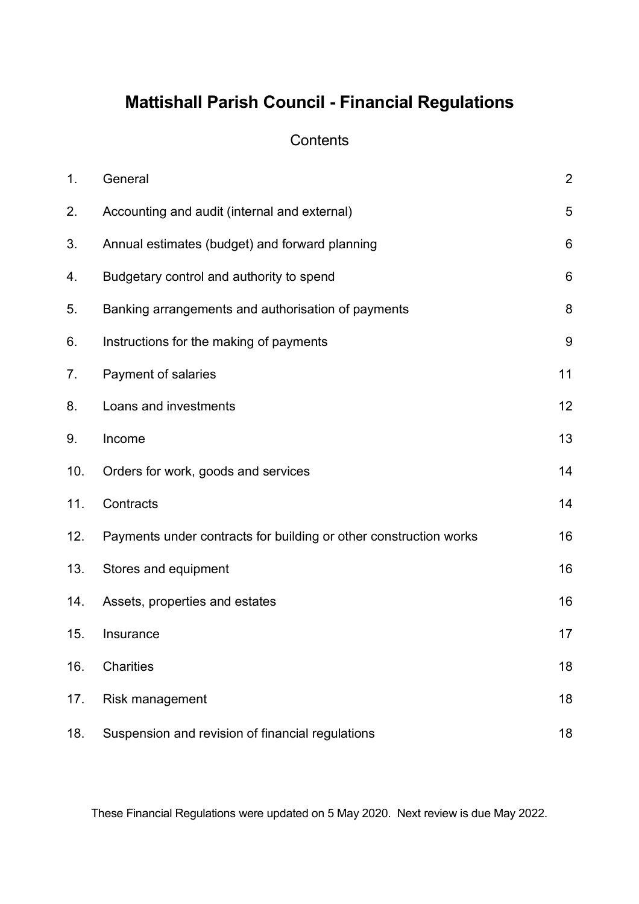# **Mattishall Parish Council - Financial Regulations**

## **Contents**

| 1.  | General                                                           | $\overline{2}$  |
|-----|-------------------------------------------------------------------|-----------------|
| 2.  | Accounting and audit (internal and external)                      | 5               |
| 3.  | Annual estimates (budget) and forward planning                    | $6\phantom{1}6$ |
| 4.  | Budgetary control and authority to spend                          | $6\phantom{1}6$ |
| 5.  | Banking arrangements and authorisation of payments                | 8               |
| 6.  | Instructions for the making of payments                           | $9\,$           |
| 7.  | Payment of salaries                                               | 11              |
| 8.  | Loans and investments                                             | 12              |
| 9.  | Income                                                            | 13              |
| 10. | Orders for work, goods and services                               | 14              |
| 11. | Contracts                                                         | 14              |
| 12. | Payments under contracts for building or other construction works | 16              |
| 13. | Stores and equipment                                              | 16              |
| 14. | Assets, properties and estates                                    | 16              |
| 15. | Insurance                                                         | 17              |
| 16. | Charities                                                         | 18              |
| 17. | Risk management                                                   | 18              |
| 18. | Suspension and revision of financial regulations                  | 18              |

These Financial Regulations were updated on 5 May 2020. Next review is due May 2022.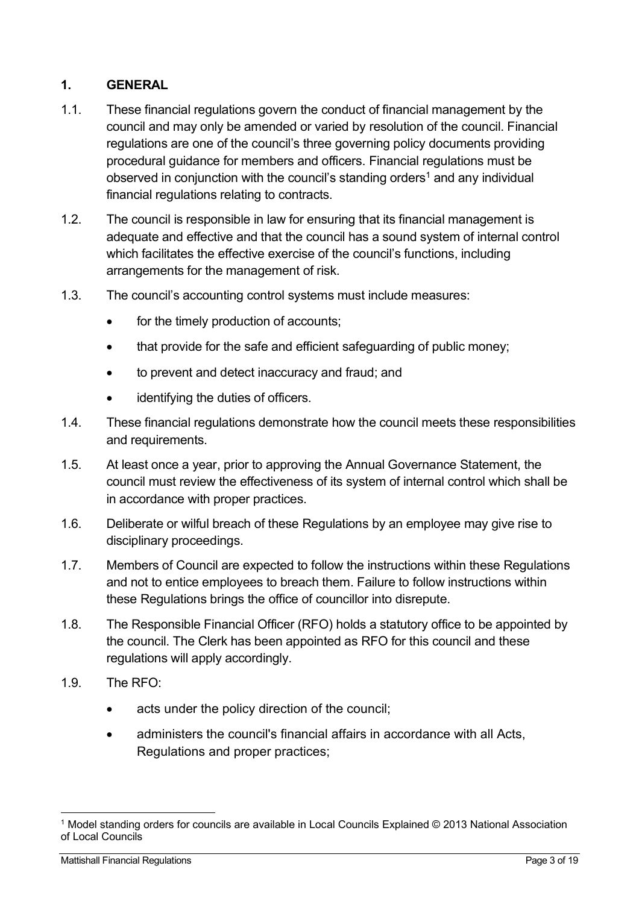## **1. GENERAL**

- 1.1. These financial regulations govern the conduct of financial management by the council and may only be amended or varied by resolution of the council. Financial regulations are one of the council's three governing policy documents providing procedural guidance for members and officers. Financial regulations must be observed in conjunction with the council's standing orders<sup>1</sup> and any individual financial regulations relating to contracts.
- 1.2. The council is responsible in law for ensuring that its financial management is adequate and effective and that the council has a sound system of internal control which facilitates the effective exercise of the council's functions, including arrangements for the management of risk.
- 1.3. The council's accounting control systems must include measures:
	- for the timely production of accounts;
	- that provide for the safe and efficient safeguarding of public money:
	- to prevent and detect inaccuracy and fraud; and
	- identifying the duties of officers.
- 1.4. These financial regulations demonstrate how the council meets these responsibilities and requirements.
- 1.5. At least once a year, prior to approving the Annual Governance Statement, the council must review the effectiveness of its system of internal control which shall be in accordance with proper practices.
- 1.6. Deliberate or wilful breach of these Regulations by an employee may give rise to disciplinary proceedings.
- 1.7. Members of Council are expected to follow the instructions within these Regulations and not to entice employees to breach them. Failure to follow instructions within these Regulations brings the office of councillor into disrepute.
- 1.8. The Responsible Financial Officer (RFO) holds a statutory office to be appointed by the council. The Clerk has been appointed as RFO for this council and these regulations will apply accordingly.
- 1.9. The RFO:
	- acts under the policy direction of the council;
	- administers the council's financial affairs in accordance with all Acts, Regulations and proper practices;

 <sup>1</sup> Model standing orders for councils are available in Local Councils Explained © 2013 National Association of Local Councils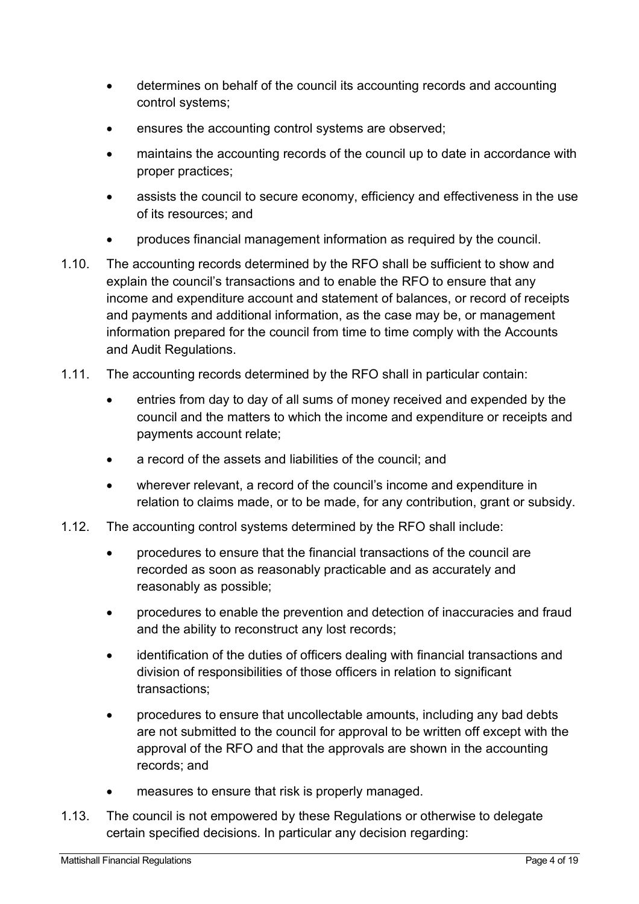- determines on behalf of the council its accounting records and accounting control systems;
- ensures the accounting control systems are observed;
- maintains the accounting records of the council up to date in accordance with proper practices;
- assists the council to secure economy, efficiency and effectiveness in the use of its resources; and
- produces financial management information as required by the council.
- 1.10. The accounting records determined by the RFO shall be sufficient to show and explain the council's transactions and to enable the RFO to ensure that any income and expenditure account and statement of balances, or record of receipts and payments and additional information, as the case may be, or management information prepared for the council from time to time comply with the Accounts and Audit Regulations.
- 1.11. The accounting records determined by the RFO shall in particular contain:
	- entries from day to day of all sums of money received and expended by the council and the matters to which the income and expenditure or receipts and payments account relate;
	- a record of the assets and liabilities of the council; and
	- wherever relevant, a record of the council's income and expenditure in relation to claims made, or to be made, for any contribution, grant or subsidy.
- 1.12. The accounting control systems determined by the RFO shall include:
	- procedures to ensure that the financial transactions of the council are recorded as soon as reasonably practicable and as accurately and reasonably as possible;
	- procedures to enable the prevention and detection of inaccuracies and fraud and the ability to reconstruct any lost records;
	- identification of the duties of officers dealing with financial transactions and division of responsibilities of those officers in relation to significant transactions;
	- procedures to ensure that uncollectable amounts, including any bad debts are not submitted to the council for approval to be written off except with the approval of the RFO and that the approvals are shown in the accounting records; and
	- measures to ensure that risk is properly managed.
- 1.13. The council is not empowered by these Regulations or otherwise to delegate certain specified decisions. In particular any decision regarding: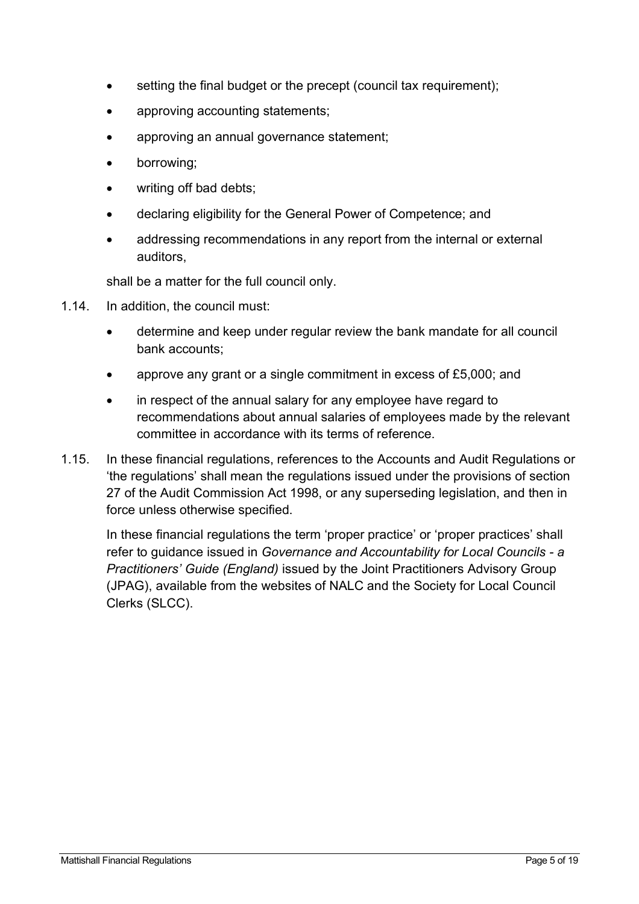- setting the final budget or the precept (council tax requirement);
- approving accounting statements;
- approving an annual governance statement;
- borrowing:
- writing off bad debts:
- declaring eligibility for the General Power of Competence; and
- addressing recommendations in any report from the internal or external auditors,

shall be a matter for the full council only.

- 1.14. In addition, the council must:
	- determine and keep under regular review the bank mandate for all council bank accounts;
	- approve any grant or a single commitment in excess of £5,000; and
	- in respect of the annual salary for any employee have regard to recommendations about annual salaries of employees made by the relevant committee in accordance with its terms of reference.
- 1.15. In these financial regulations, references to the Accounts and Audit Regulations or 'the regulations' shall mean the regulations issued under the provisions of section 27 of the Audit Commission Act 1998, or any superseding legislation, and then in force unless otherwise specified.

In these financial regulations the term 'proper practice' or 'proper practices' shall refer to guidance issued in *Governance and Accountability for Local Councils - a Practitioners' Guide (England)* issued by the Joint Practitioners Advisory Group (JPAG), available from the websites of NALC and the Society for Local Council Clerks (SLCC).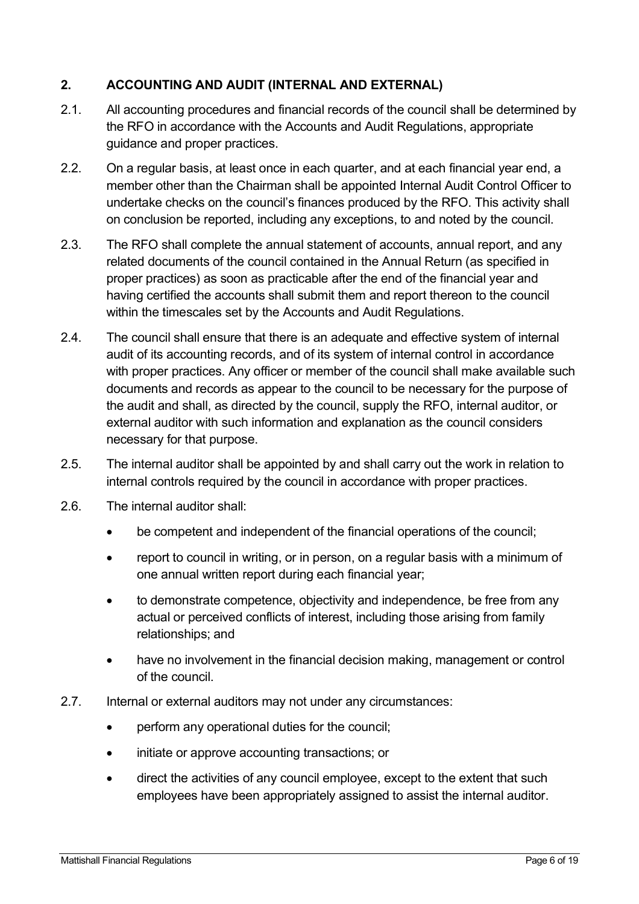## **2. ACCOUNTING AND AUDIT (INTERNAL AND EXTERNAL)**

- 2.1. All accounting procedures and financial records of the council shall be determined by the RFO in accordance with the Accounts and Audit Regulations, appropriate guidance and proper practices.
- 2.2. On a regular basis, at least once in each quarter, and at each financial year end, a member other than the Chairman shall be appointed Internal Audit Control Officer to undertake checks on the council's finances produced by the RFO. This activity shall on conclusion be reported, including any exceptions, to and noted by the council.
- 2.3. The RFO shall complete the annual statement of accounts, annual report, and any related documents of the council contained in the Annual Return (as specified in proper practices) as soon as practicable after the end of the financial year and having certified the accounts shall submit them and report thereon to the council within the timescales set by the Accounts and Audit Regulations.
- 2.4. The council shall ensure that there is an adequate and effective system of internal audit of its accounting records, and of its system of internal control in accordance with proper practices. Any officer or member of the council shall make available such documents and records as appear to the council to be necessary for the purpose of the audit and shall, as directed by the council, supply the RFO, internal auditor, or external auditor with such information and explanation as the council considers necessary for that purpose.
- 2.5. The internal auditor shall be appointed by and shall carry out the work in relation to internal controls required by the council in accordance with proper practices.
- 2.6. The internal auditor shall:
	- be competent and independent of the financial operations of the council;
	- report to council in writing, or in person, on a regular basis with a minimum of one annual written report during each financial year;
	- to demonstrate competence, objectivity and independence, be free from any actual or perceived conflicts of interest, including those arising from family relationships; and
	- have no involvement in the financial decision making, management or control of the council.
- 2.7. Internal or external auditors may not under any circumstances:
	- perform any operational duties for the council;
	- initiate or approve accounting transactions; or
	- direct the activities of any council employee, except to the extent that such employees have been appropriately assigned to assist the internal auditor.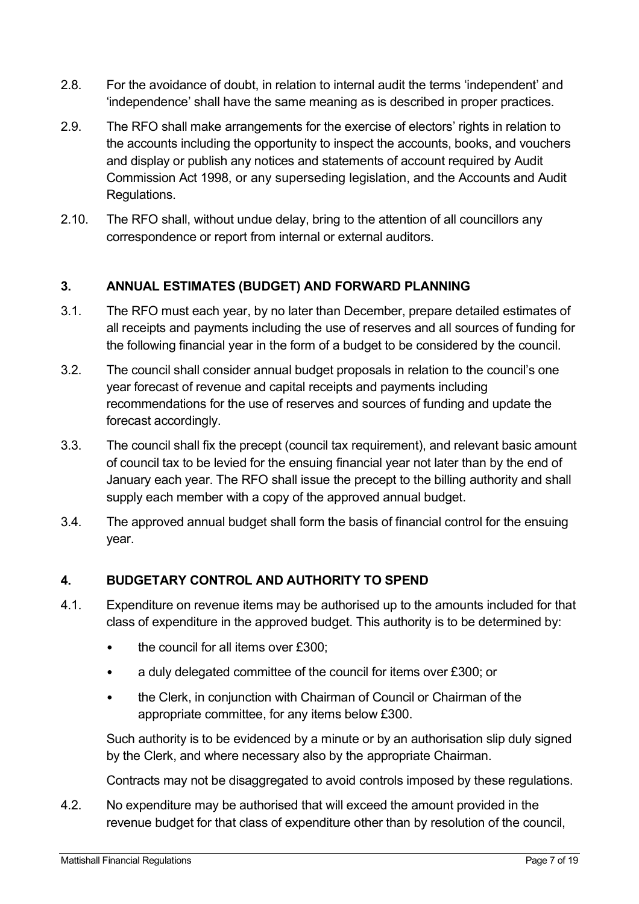- 2.8. For the avoidance of doubt, in relation to internal audit the terms 'independent' and 'independence' shall have the same meaning as is described in proper practices.
- 2.9. The RFO shall make arrangements for the exercise of electors' rights in relation to the accounts including the opportunity to inspect the accounts, books, and vouchers and display or publish any notices and statements of account required by Audit Commission Act 1998, or any superseding legislation, and the Accounts and Audit Regulations.
- 2.10. The RFO shall, without undue delay, bring to the attention of all councillors any correspondence or report from internal or external auditors.

## **3. ANNUAL ESTIMATES (BUDGET) AND FORWARD PLANNING**

- 3.1. The RFO must each year, by no later than December, prepare detailed estimates of all receipts and payments including the use of reserves and all sources of funding for the following financial year in the form of a budget to be considered by the council.
- 3.2. The council shall consider annual budget proposals in relation to the council's one year forecast of revenue and capital receipts and payments including recommendations for the use of reserves and sources of funding and update the forecast accordingly.
- 3.3. The council shall fix the precept (council tax requirement), and relevant basic amount of council tax to be levied for the ensuing financial year not later than by the end of January each year. The RFO shall issue the precept to the billing authority and shall supply each member with a copy of the approved annual budget.
- 3.4. The approved annual budget shall form the basis of financial control for the ensuing year.

#### **4. BUDGETARY CONTROL AND AUTHORITY TO SPEND**

- 4.1. Expenditure on revenue items may be authorised up to the amounts included for that class of expenditure in the approved budget. This authority is to be determined by:
	- the council for all items over £300;
	- a duly delegated committee of the council for items over £300; or
	- the Clerk, in conjunction with Chairman of Council or Chairman of the appropriate committee, for any items below £300.

Such authority is to be evidenced by a minute or by an authorisation slip duly signed by the Clerk, and where necessary also by the appropriate Chairman.

Contracts may not be disaggregated to avoid controls imposed by these regulations.

4.2. No expenditure may be authorised that will exceed the amount provided in the revenue budget for that class of expenditure other than by resolution of the council,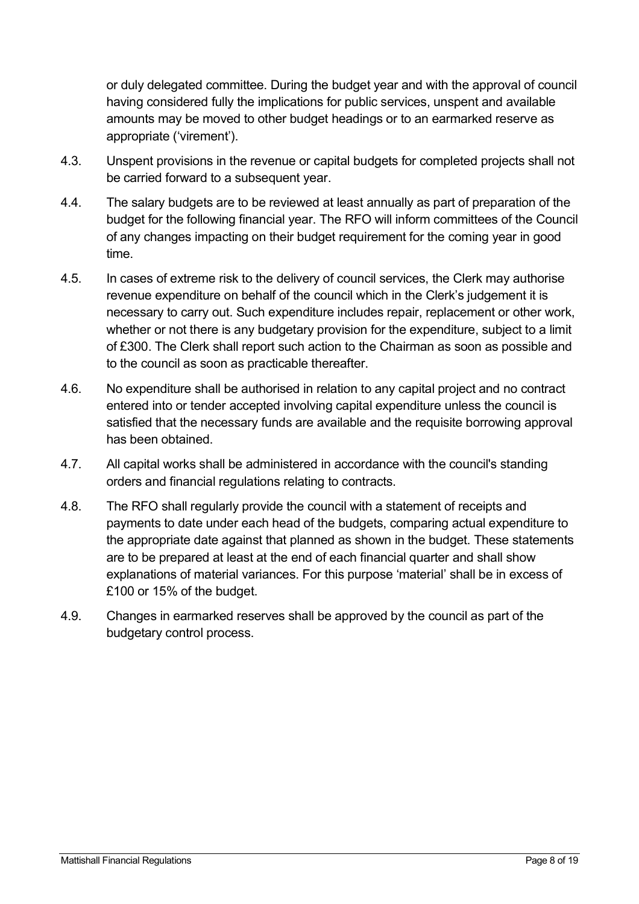or duly delegated committee. During the budget year and with the approval of council having considered fully the implications for public services, unspent and available amounts may be moved to other budget headings or to an earmarked reserve as appropriate ('virement').

- 4.3. Unspent provisions in the revenue or capital budgets for completed projects shall not be carried forward to a subsequent year.
- 4.4. The salary budgets are to be reviewed at least annually as part of preparation of the budget for the following financial year. The RFO will inform committees of the Council of any changes impacting on their budget requirement for the coming year in good time.
- 4.5. In cases of extreme risk to the delivery of council services, the Clerk may authorise revenue expenditure on behalf of the council which in the Clerk's judgement it is necessary to carry out. Such expenditure includes repair, replacement or other work, whether or not there is any budgetary provision for the expenditure, subject to a limit of £300. The Clerk shall report such action to the Chairman as soon as possible and to the council as soon as practicable thereafter.
- 4.6. No expenditure shall be authorised in relation to any capital project and no contract entered into or tender accepted involving capital expenditure unless the council is satisfied that the necessary funds are available and the requisite borrowing approval has been obtained.
- 4.7. All capital works shall be administered in accordance with the council's standing orders and financial regulations relating to contracts.
- 4.8. The RFO shall regularly provide the council with a statement of receipts and payments to date under each head of the budgets, comparing actual expenditure to the appropriate date against that planned as shown in the budget. These statements are to be prepared at least at the end of each financial quarter and shall show explanations of material variances. For this purpose 'material' shall be in excess of £100 or 15% of the budget.
- 4.9. Changes in earmarked reserves shall be approved by the council as part of the budgetary control process.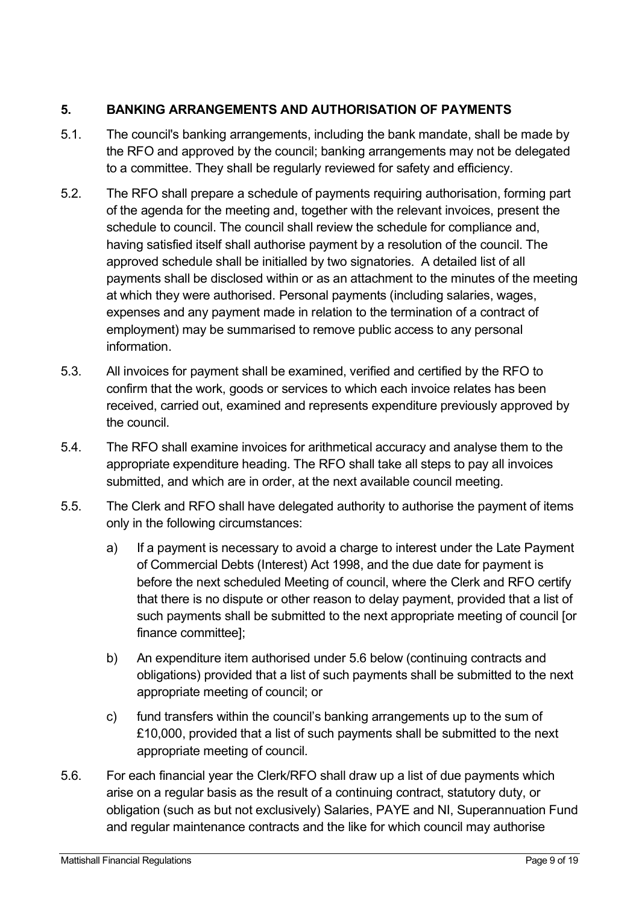## **5. BANKING ARRANGEMENTS AND AUTHORISATION OF PAYMENTS**

- 5.1. The council's banking arrangements, including the bank mandate, shall be made by the RFO and approved by the council; banking arrangements may not be delegated to a committee. They shall be regularly reviewed for safety and efficiency.
- 5.2. The RFO shall prepare a schedule of payments requiring authorisation, forming part of the agenda for the meeting and, together with the relevant invoices, present the schedule to council. The council shall review the schedule for compliance and, having satisfied itself shall authorise payment by a resolution of the council. The approved schedule shall be initialled by two signatories. A detailed list of all payments shall be disclosed within or as an attachment to the minutes of the meeting at which they were authorised. Personal payments (including salaries, wages, expenses and any payment made in relation to the termination of a contract of employment) may be summarised to remove public access to any personal information.
- 5.3. All invoices for payment shall be examined, verified and certified by the RFO to confirm that the work, goods or services to which each invoice relates has been received, carried out, examined and represents expenditure previously approved by the council.
- 5.4. The RFO shall examine invoices for arithmetical accuracy and analyse them to the appropriate expenditure heading. The RFO shall take all steps to pay all invoices submitted, and which are in order, at the next available council meeting.
- 5.5. The Clerk and RFO shall have delegated authority to authorise the payment of items only in the following circumstances:
	- a) If a payment is necessary to avoid a charge to interest under the Late Payment of Commercial Debts (Interest) Act 1998, and the due date for payment is before the next scheduled Meeting of council, where the Clerk and RFO certify that there is no dispute or other reason to delay payment, provided that a list of such payments shall be submitted to the next appropriate meeting of council [or finance committee];
	- b) An expenditure item authorised under 5.6 below (continuing contracts and obligations) provided that a list of such payments shall be submitted to the next appropriate meeting of council; or
	- c) fund transfers within the council's banking arrangements up to the sum of £10,000, provided that a list of such payments shall be submitted to the next appropriate meeting of council.
- 5.6. For each financial year the Clerk/RFO shall draw up a list of due payments which arise on a regular basis as the result of a continuing contract, statutory duty, or obligation (such as but not exclusively) Salaries, PAYE and NI, Superannuation Fund and regular maintenance contracts and the like for which council may authorise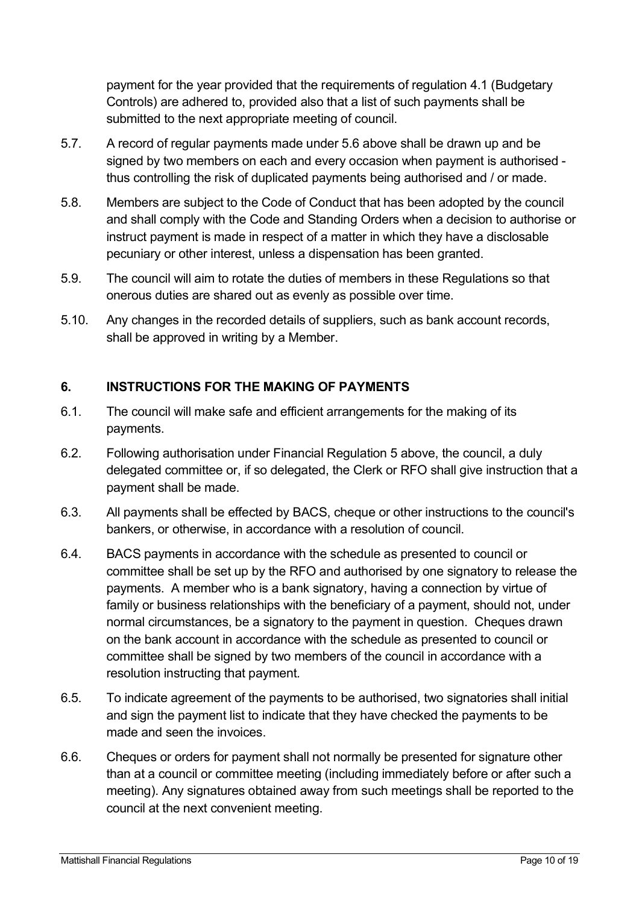payment for the year provided that the requirements of regulation 4.1 (Budgetary Controls) are adhered to, provided also that a list of such payments shall be submitted to the next appropriate meeting of council.

- 5.7. A record of regular payments made under 5.6 above shall be drawn up and be signed by two members on each and every occasion when payment is authorised thus controlling the risk of duplicated payments being authorised and / or made.
- 5.8. Members are subject to the Code of Conduct that has been adopted by the council and shall comply with the Code and Standing Orders when a decision to authorise or instruct payment is made in respect of a matter in which they have a disclosable pecuniary or other interest, unless a dispensation has been granted.
- 5.9. The council will aim to rotate the duties of members in these Regulations so that onerous duties are shared out as evenly as possible over time.
- 5.10. Any changes in the recorded details of suppliers, such as bank account records, shall be approved in writing by a Member.

## **6. INSTRUCTIONS FOR THE MAKING OF PAYMENTS**

- 6.1. The council will make safe and efficient arrangements for the making of its payments.
- 6.2. Following authorisation under Financial Regulation 5 above, the council, a duly delegated committee or, if so delegated, the Clerk or RFO shall give instruction that a payment shall be made.
- 6.3. All payments shall be effected by BACS, cheque or other instructions to the council's bankers, or otherwise, in accordance with a resolution of council.
- 6.4. BACS payments in accordance with the schedule as presented to council or committee shall be set up by the RFO and authorised by one signatory to release the payments. A member who is a bank signatory, having a connection by virtue of family or business relationships with the beneficiary of a payment, should not, under normal circumstances, be a signatory to the payment in question. Cheques drawn on the bank account in accordance with the schedule as presented to council or committee shall be signed by two members of the council in accordance with a resolution instructing that payment*.*
- 6.5. To indicate agreement of the payments to be authorised, two signatories shall initial and sign the payment list to indicate that they have checked the payments to be made and seen the invoices.
- 6.6. Cheques or orders for payment shall not normally be presented for signature other than at a council or committee meeting (including immediately before or after such a meeting). Any signatures obtained away from such meetings shall be reported to the council at the next convenient meeting.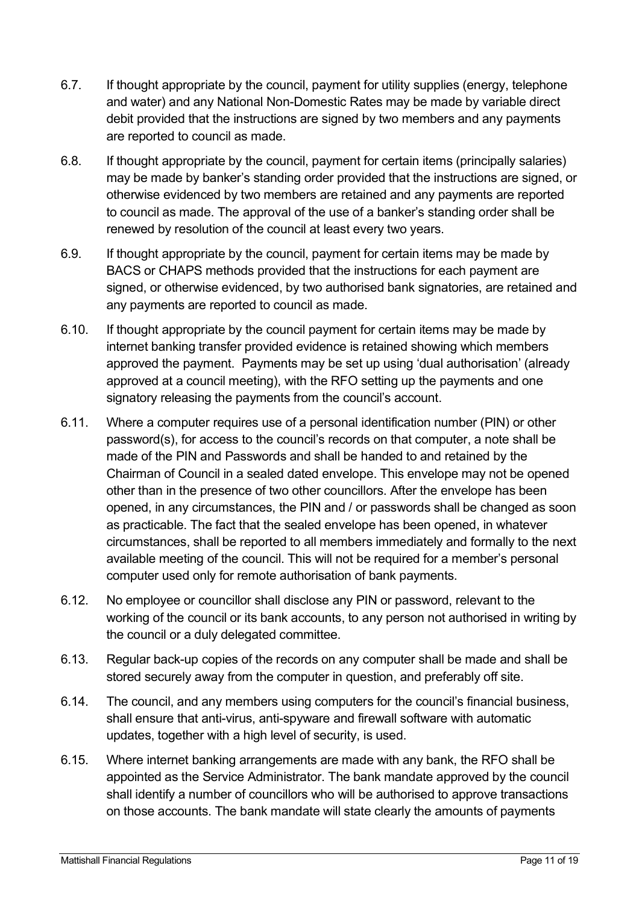- 6.7. If thought appropriate by the council, payment for utility supplies (energy, telephone and water) and any National Non-Domestic Rates may be made by variable direct debit provided that the instructions are signed by two members and any payments are reported to council as made.
- 6.8. If thought appropriate by the council, payment for certain items (principally salaries) may be made by banker's standing order provided that the instructions are signed, or otherwise evidenced by two members are retained and any payments are reported to council as made. The approval of the use of a banker's standing order shall be renewed by resolution of the council at least every two years.
- 6.9. If thought appropriate by the council, payment for certain items may be made by BACS or CHAPS methods provided that the instructions for each payment are signed, or otherwise evidenced, by two authorised bank signatories, are retained and any payments are reported to council as made.
- 6.10. If thought appropriate by the council payment for certain items may be made by internet banking transfer provided evidence is retained showing which members approved the payment. Payments may be set up using 'dual authorisation' (already approved at a council meeting), with the RFO setting up the payments and one signatory releasing the payments from the council's account.
- 6.11. Where a computer requires use of a personal identification number (PIN) or other password(s), for access to the council's records on that computer, a note shall be made of the PIN and Passwords and shall be handed to and retained by the Chairman of Council in a sealed dated envelope. This envelope may not be opened other than in the presence of two other councillors. After the envelope has been opened, in any circumstances, the PIN and / or passwords shall be changed as soon as practicable. The fact that the sealed envelope has been opened, in whatever circumstances, shall be reported to all members immediately and formally to the next available meeting of the council. This will not be required for a member's personal computer used only for remote authorisation of bank payments.
- 6.12. No employee or councillor shall disclose any PIN or password, relevant to the working of the council or its bank accounts, to any person not authorised in writing by the council or a duly delegated committee.
- 6.13. Regular back-up copies of the records on any computer shall be made and shall be stored securely away from the computer in question, and preferably off site.
- 6.14. The council, and any members using computers for the council's financial business, shall ensure that anti-virus, anti-spyware and firewall software with automatic updates, together with a high level of security, is used.
- 6.15. Where internet banking arrangements are made with any bank, the RFO shall be appointed as the Service Administrator. The bank mandate approved by the council shall identify a number of councillors who will be authorised to approve transactions on those accounts. The bank mandate will state clearly the amounts of payments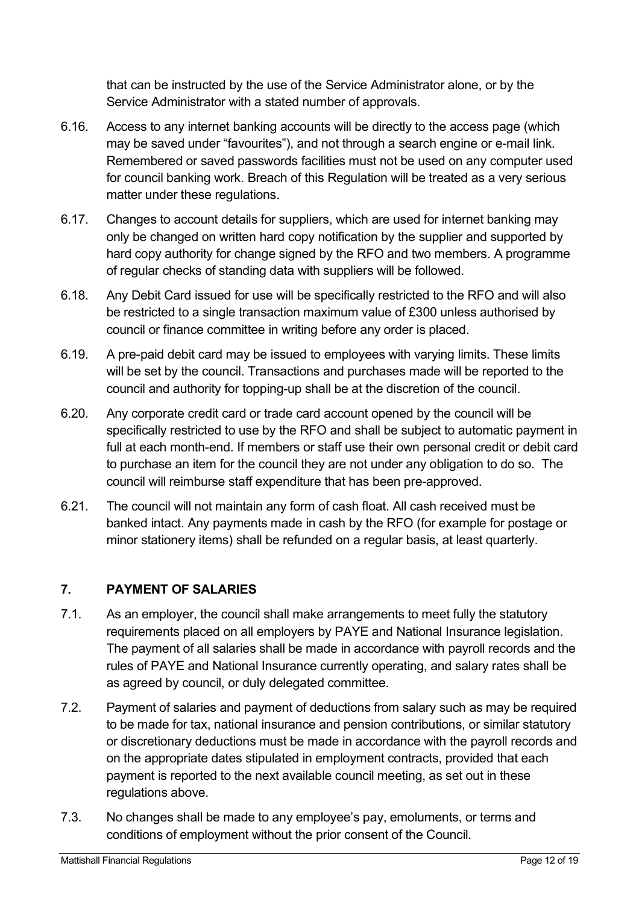that can be instructed by the use of the Service Administrator alone, or by the Service Administrator with a stated number of approvals.

- 6.16. Access to any internet banking accounts will be directly to the access page (which may be saved under "favourites"), and not through a search engine or e-mail link. Remembered or saved passwords facilities must not be used on any computer used for council banking work. Breach of this Regulation will be treated as a very serious matter under these regulations.
- 6.17. Changes to account details for suppliers, which are used for internet banking may only be changed on written hard copy notification by the supplier and supported by hard copy authority for change signed by the RFO and two members. A programme of regular checks of standing data with suppliers will be followed.
- 6.18. Any Debit Card issued for use will be specifically restricted to the RFO and will also be restricted to a single transaction maximum value of £300 unless authorised by council or finance committee in writing before any order is placed.
- 6.19. A pre-paid debit card may be issued to employees with varying limits. These limits will be set by the council. Transactions and purchases made will be reported to the council and authority for topping-up shall be at the discretion of the council.
- 6.20. Any corporate credit card or trade card account opened by the council will be specifically restricted to use by the RFO and shall be subject to automatic payment in full at each month-end. If members or staff use their own personal credit or debit card to purchase an item for the council they are not under any obligation to do so. The council will reimburse staff expenditure that has been pre-approved.
- 6.21. The council will not maintain any form of cash float. All cash received must be banked intact. Any payments made in cash by the RFO (for example for postage or minor stationery items) shall be refunded on a regular basis, at least quarterly.

## **7. PAYMENT OF SALARIES**

- 7.1. As an employer, the council shall make arrangements to meet fully the statutory requirements placed on all employers by PAYE and National Insurance legislation. The payment of all salaries shall be made in accordance with payroll records and the rules of PAYE and National Insurance currently operating, and salary rates shall be as agreed by council, or duly delegated committee.
- 7.2. Payment of salaries and payment of deductions from salary such as may be required to be made for tax, national insurance and pension contributions, or similar statutory or discretionary deductions must be made in accordance with the payroll records and on the appropriate dates stipulated in employment contracts, provided that each payment is reported to the next available council meeting, as set out in these regulations above.
- 7.3. No changes shall be made to any employee's pay, emoluments, or terms and conditions of employment without the prior consent of the Council.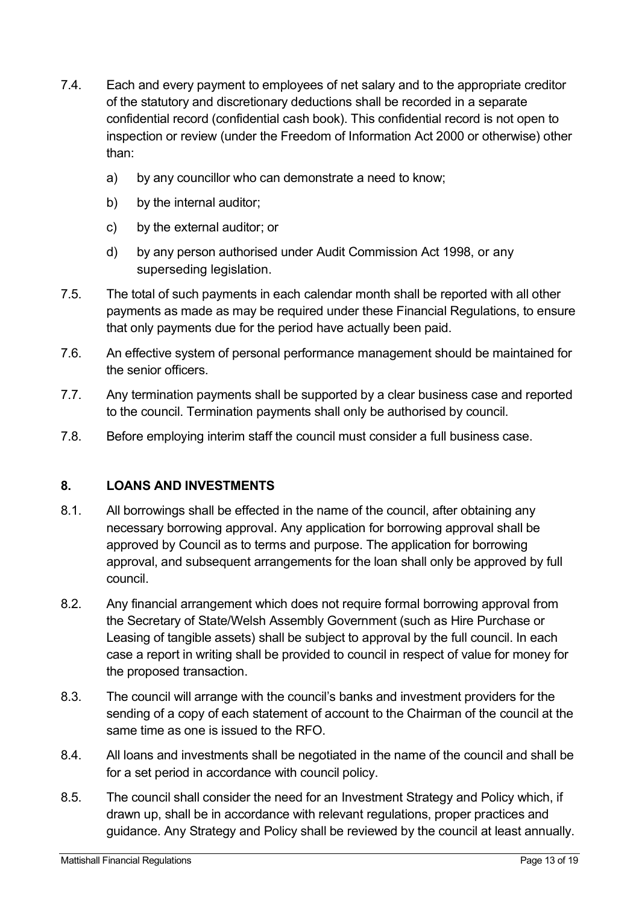- 7.4. Each and every payment to employees of net salary and to the appropriate creditor of the statutory and discretionary deductions shall be recorded in a separate confidential record (confidential cash book). This confidential record is not open to inspection or review (under the Freedom of Information Act 2000 or otherwise) other than:
	- a) by any councillor who can demonstrate a need to know;
	- b) by the internal auditor;
	- c) by the external auditor; or
	- d) by any person authorised under Audit Commission Act 1998, or any superseding legislation.
- 7.5. The total of such payments in each calendar month shall be reported with all other payments as made as may be required under these Financial Regulations, to ensure that only payments due for the period have actually been paid.
- 7.6. An effective system of personal performance management should be maintained for the senior officers.
- 7.7. Any termination payments shall be supported by a clear business case and reported to the council. Termination payments shall only be authorised by council.
- 7.8. Before employing interim staff the council must consider a full business case.

#### **8. LOANS AND INVESTMENTS**

- 8.1. All borrowings shall be effected in the name of the council, after obtaining any necessary borrowing approval. Any application for borrowing approval shall be approved by Council as to terms and purpose. The application for borrowing approval, and subsequent arrangements for the loan shall only be approved by full council.
- 8.2. Any financial arrangement which does not require formal borrowing approval from the Secretary of State/Welsh Assembly Government (such as Hire Purchase or Leasing of tangible assets) shall be subject to approval by the full council. In each case a report in writing shall be provided to council in respect of value for money for the proposed transaction.
- 8.3. The council will arrange with the council's banks and investment providers for the sending of a copy of each statement of account to the Chairman of the council at the same time as one is issued to the RFO.
- 8.4. All loans and investments shall be negotiated in the name of the council and shall be for a set period in accordance with council policy.
- 8.5. The council shall consider the need for an Investment Strategy and Policy which, if drawn up, shall be in accordance with relevant regulations, proper practices and guidance. Any Strategy and Policy shall be reviewed by the council at least annually.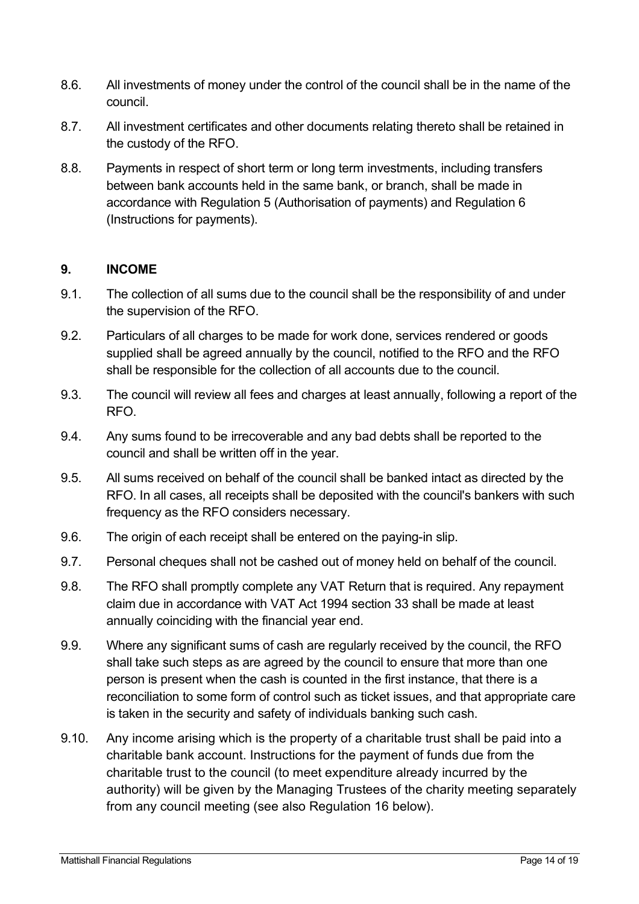- 8.6. All investments of money under the control of the council shall be in the name of the council.
- 8.7. All investment certificates and other documents relating thereto shall be retained in the custody of the RFO.
- 8.8. Payments in respect of short term or long term investments, including transfers between bank accounts held in the same bank, or branch, shall be made in accordance with Regulation 5 (Authorisation of payments) and Regulation 6 (Instructions for payments).

#### **9. INCOME**

- 9.1. The collection of all sums due to the council shall be the responsibility of and under the supervision of the RFO.
- 9.2. Particulars of all charges to be made for work done, services rendered or goods supplied shall be agreed annually by the council, notified to the RFO and the RFO shall be responsible for the collection of all accounts due to the council.
- 9.3. The council will review all fees and charges at least annually, following a report of the RFO.
- 9.4. Any sums found to be irrecoverable and any bad debts shall be reported to the council and shall be written off in the year.
- 9.5. All sums received on behalf of the council shall be banked intact as directed by the RFO. In all cases, all receipts shall be deposited with the council's bankers with such frequency as the RFO considers necessary.
- 9.6. The origin of each receipt shall be entered on the paying-in slip.
- 9.7. Personal cheques shall not be cashed out of money held on behalf of the council.
- 9.8. The RFO shall promptly complete any VAT Return that is required. Any repayment claim due in accordance with VAT Act 1994 section 33 shall be made at least annually coinciding with the financial year end.
- 9.9. Where any significant sums of cash are regularly received by the council, the RFO shall take such steps as are agreed by the council to ensure that more than one person is present when the cash is counted in the first instance, that there is a reconciliation to some form of control such as ticket issues, and that appropriate care is taken in the security and safety of individuals banking such cash.
- 9.10. Any income arising which is the property of a charitable trust shall be paid into a charitable bank account. Instructions for the payment of funds due from the charitable trust to the council (to meet expenditure already incurred by the authority) will be given by the Managing Trustees of the charity meeting separately from any council meeting (see also Regulation 16 below).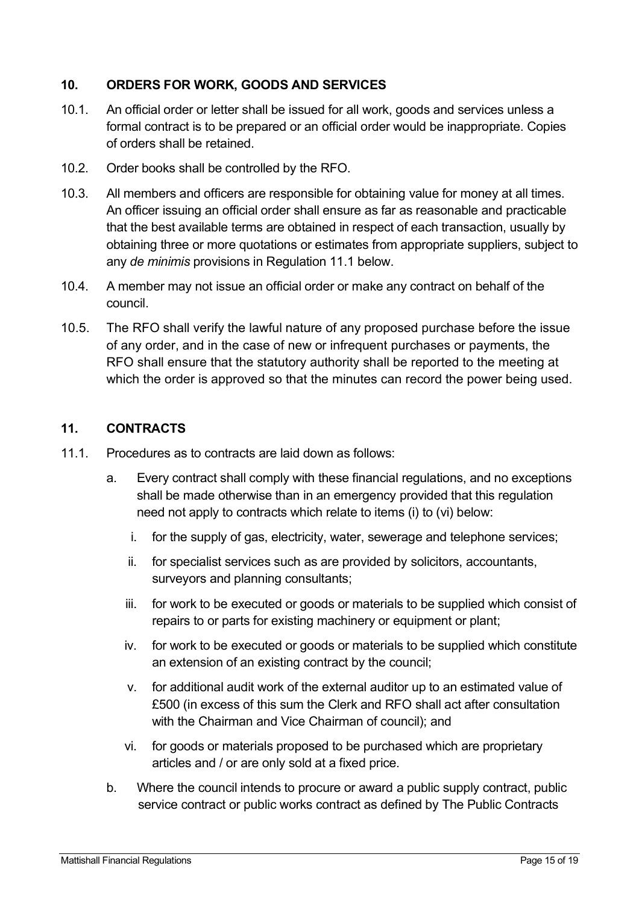#### **10. ORDERS FOR WORK, GOODS AND SERVICES**

- 10.1. An official order or letter shall be issued for all work, goods and services unless a formal contract is to be prepared or an official order would be inappropriate. Copies of orders shall be retained.
- 10.2. Order books shall be controlled by the RFO.
- 10.3. All members and officers are responsible for obtaining value for money at all times. An officer issuing an official order shall ensure as far as reasonable and practicable that the best available terms are obtained in respect of each transaction, usually by obtaining three or more quotations or estimates from appropriate suppliers, subject to any *de minimis* provisions in Regulation 11.1 below.
- 10.4. A member may not issue an official order or make any contract on behalf of the council.
- 10.5. The RFO shall verify the lawful nature of any proposed purchase before the issue of any order, and in the case of new or infrequent purchases or payments, the RFO shall ensure that the statutory authority shall be reported to the meeting at which the order is approved so that the minutes can record the power being used.

#### **11. CONTRACTS**

- 11.1. Procedures as to contracts are laid down as follows:
	- a. Every contract shall comply with these financial regulations, and no exceptions shall be made otherwise than in an emergency provided that this regulation need not apply to contracts which relate to items (i) to (vi) below:
		- i. for the supply of gas, electricity, water, sewerage and telephone services;
		- ii. for specialist services such as are provided by solicitors, accountants, surveyors and planning consultants;
		- iii. for work to be executed or goods or materials to be supplied which consist of repairs to or parts for existing machinery or equipment or plant;
		- iv. for work to be executed or goods or materials to be supplied which constitute an extension of an existing contract by the council;
		- v. for additional audit work of the external auditor up to an estimated value of £500 (in excess of this sum the Clerk and RFO shall act after consultation with the Chairman and Vice Chairman of council); and
		- vi. for goods or materials proposed to be purchased which are proprietary articles and / or are only sold at a fixed price.
	- b. Where the council intends to procure or award a public supply contract, public service contract or public works contract as defined by The Public Contracts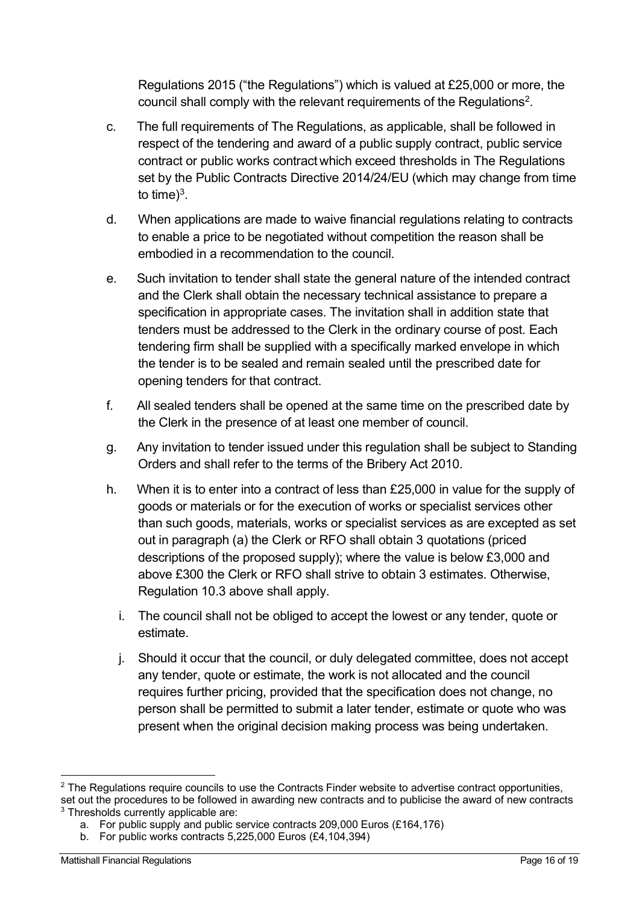Regulations 2015 ("the Regulations") which is valued at £25,000 or more, the council shall comply with the relevant requirements of the Regulations2.

- c. The full requirements of The Regulations, as applicable, shall be followed in respect of the tendering and award of a public supply contract, public service contract or public works contract which exceed thresholds in The Regulations set by the Public Contracts Directive 2014/24/EU (which may change from time to time $)^3$ .
- d. When applications are made to waive financial regulations relating to contracts to enable a price to be negotiated without competition the reason shall be embodied in a recommendation to the council.
- e. Such invitation to tender shall state the general nature of the intended contract and the Clerk shall obtain the necessary technical assistance to prepare a specification in appropriate cases. The invitation shall in addition state that tenders must be addressed to the Clerk in the ordinary course of post. Each tendering firm shall be supplied with a specifically marked envelope in which the tender is to be sealed and remain sealed until the prescribed date for opening tenders for that contract.
- f. All sealed tenders shall be opened at the same time on the prescribed date by the Clerk in the presence of at least one member of council.
- g. Any invitation to tender issued under this regulation shall be subject to Standing Orders and shall refer to the terms of the Bribery Act 2010.
- h. When it is to enter into a contract of less than £25,000 in value for the supply of goods or materials or for the execution of works or specialist services other than such goods, materials, works or specialist services as are excepted as set out in paragraph (a) the Clerk or RFO shall obtain 3 quotations (priced descriptions of the proposed supply); where the value is below £3,000 and above £300 the Clerk or RFO shall strive to obtain 3 estimates. Otherwise, Regulation 10.3 above shall apply.
	- i. The council shall not be obliged to accept the lowest or any tender, quote or estimate.
	- j. Should it occur that the council, or duly delegated committee, does not accept any tender, quote or estimate, the work is not allocated and the council requires further pricing, provided that the specification does not change, no person shall be permitted to submit a later tender, estimate or quote who was present when the original decision making process was being undertaken.

 $2$  The Regulations require councils to use the Contracts Finder website to advertise contract opportunities, set out the procedures to be followed in awarding new contracts and to publicise the award of new contracts <sup>3</sup> Thresholds currently applicable are:

a. For public supply and public service contracts 209,000 Euros (£164,176)

b. For public works contracts 5,225,000 Euros (£4,104,394)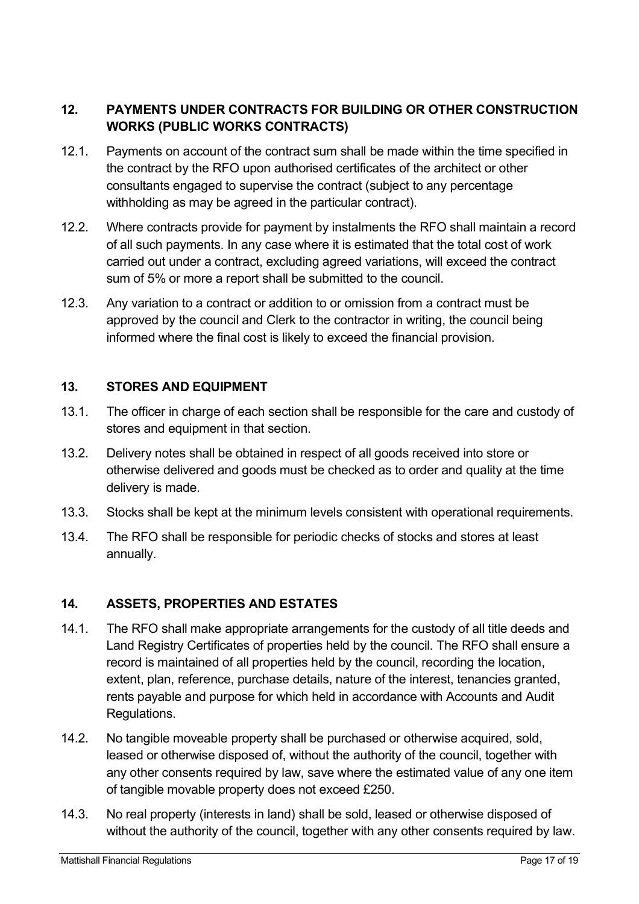## **12. PAYMENTS UNDER CONTRACTS FOR BUILDING OR OTHER CONSTRUCTION WORKS (PUBLIC WORKS CONTRACTS)**

- 12.1. Payments on account of the contract sum shall be made within the time specified in the contract by the RFO upon authorised certificates of the architect or other consultants engaged to supervise the contract (subject to any percentage withholding as may be agreed in the particular contract).
- 12.2. Where contracts provide for payment by instalments the RFO shall maintain a record of all such payments. In any case where it is estimated that the total cost of work carried out under a contract, excluding agreed variations, will exceed the contract sum of 5% or more a report shall be submitted to the council.
- 12.3. Any variation to a contract or addition to or omission from a contract must be approved by the council and Clerk to the contractor in writing, the council being informed where the final cost is likely to exceed the financial provision.

## **13. STORES AND EQUIPMENT**

- 13.1. The officer in charge of each section shall be responsible for the care and custody of stores and equipment in that section.
- 13.2. Delivery notes shall be obtained in respect of all goods received into store or otherwise delivered and goods must be checked as to order and quality at the time delivery is made.
- 13.3. Stocks shall be kept at the minimum levels consistent with operational requirements.
- 13.4. The RFO shall be responsible for periodic checks of stocks and stores at least annually.

#### **14. ASSETS, PROPERTIES AND ESTATES**

- 14.1. The RFO shall make appropriate arrangements for the custody of all title deeds and Land Registry Certificates of properties held by the council. The RFO shall ensure a record is maintained of all properties held by the council, recording the location, extent, plan, reference, purchase details, nature of the interest, tenancies granted, rents payable and purpose for which held in accordance with Accounts and Audit Regulations.
- 14.2. No tangible moveable property shall be purchased or otherwise acquired, sold, leased or otherwise disposed of, without the authority of the council, together with any other consents required by law, save where the estimated value of any one item of tangible movable property does not exceed £250.
- 14.3. No real property (interests in land) shall be sold, leased or otherwise disposed of without the authority of the council, together with any other consents required by law.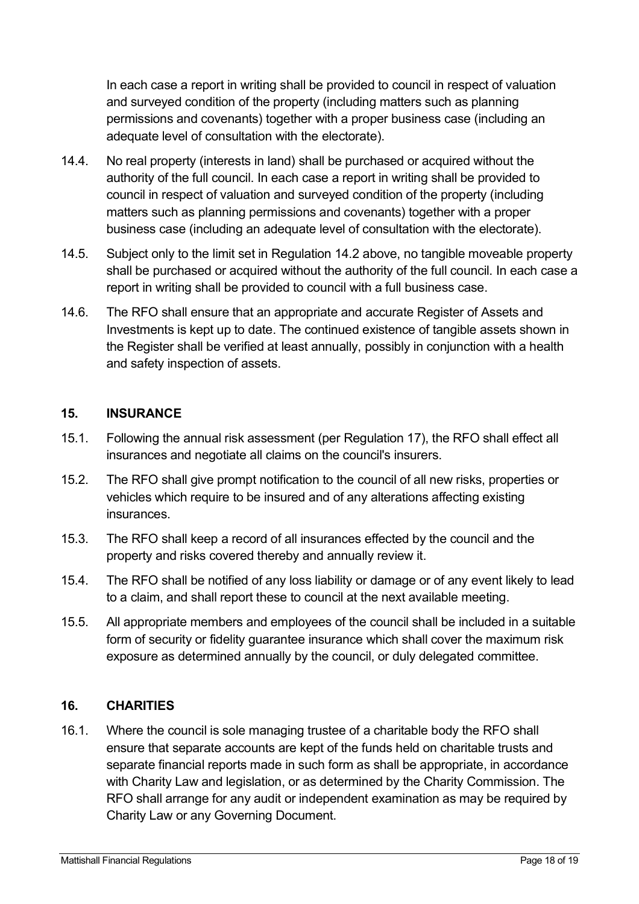In each case a report in writing shall be provided to council in respect of valuation and surveyed condition of the property (including matters such as planning permissions and covenants) together with a proper business case (including an adequate level of consultation with the electorate).

- 14.4. No real property (interests in land) shall be purchased or acquired without the authority of the full council. In each case a report in writing shall be provided to council in respect of valuation and surveyed condition of the property (including matters such as planning permissions and covenants) together with a proper business case (including an adequate level of consultation with the electorate).
- 14.5. Subject only to the limit set in Regulation 14.2 above, no tangible moveable property shall be purchased or acquired without the authority of the full council. In each case a report in writing shall be provided to council with a full business case.
- 14.6. The RFO shall ensure that an appropriate and accurate Register of Assets and Investments is kept up to date. The continued existence of tangible assets shown in the Register shall be verified at least annually, possibly in conjunction with a health and safety inspection of assets.

## **15. INSURANCE**

- 15.1. Following the annual risk assessment (per Regulation 17), the RFO shall effect all insurances and negotiate all claims on the council's insurers.
- 15.2. The RFO shall give prompt notification to the council of all new risks, properties or vehicles which require to be insured and of any alterations affecting existing insurances.
- 15.3. The RFO shall keep a record of all insurances effected by the council and the property and risks covered thereby and annually review it.
- 15.4. The RFO shall be notified of any loss liability or damage or of any event likely to lead to a claim, and shall report these to council at the next available meeting.
- 15.5. All appropriate members and employees of the council shall be included in a suitable form of security or fidelity guarantee insurance which shall cover the maximum risk exposure as determined annually by the council, or duly delegated committee.

## **16. CHARITIES**

16.1. Where the council is sole managing trustee of a charitable body the RFO shall ensure that separate accounts are kept of the funds held on charitable trusts and separate financial reports made in such form as shall be appropriate, in accordance with Charity Law and legislation, or as determined by the Charity Commission. The RFO shall arrange for any audit or independent examination as may be required by Charity Law or any Governing Document.